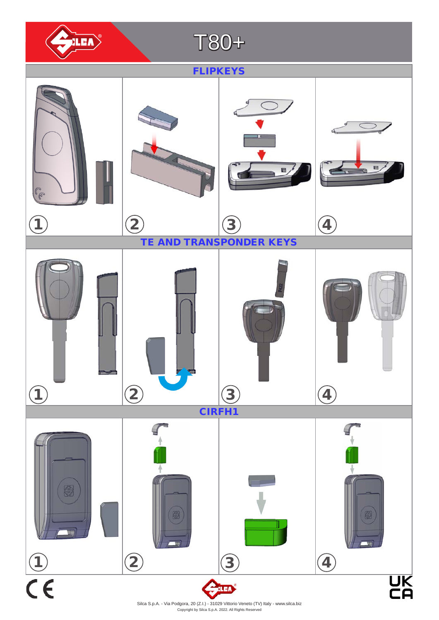

Copyright by Silca S.p.A. 2022. All Rights Reserved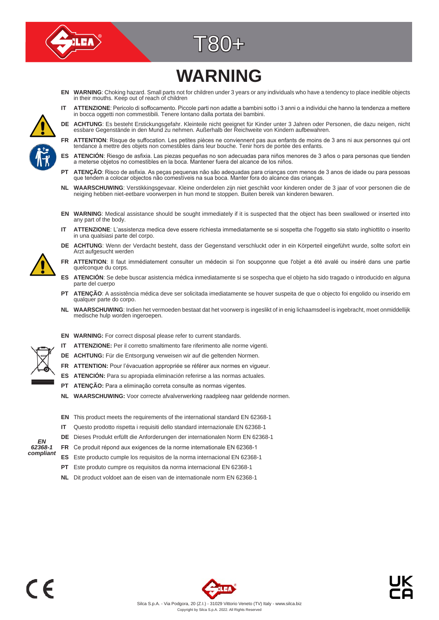



# **WARNING**

- **EN WARNING**: Choking hazard. Small parts not for children under 3 years or any individuals who have a tendency to place inedible objects in their mouths. Keep out of reach of children
- **IT ATTENZIONE**: Pericolo di soffocamento. Piccole parti non adatte a bambini sotto i 3 anni o a individui che hanno la tendenza a mettere in bocca oggetti non commestibili. Tenere lontano dalla portata dei bambini.
- DE ACHTUNG: Es besteht Erstickungsgefahr. Kleinteile nicht geeignet für Kinder unter 3 Jahren oder Personen, die dazu neigen, nicht<br>essbare Gegenstände in den Mund zu nehmen. Außerhalb der Reichweite von Kindern aufbewahre
- **FR ATTENTION**: Risque de suffocation. Les petites pièces ne conviennent pas aux enfants de moins de 3 ans ni aux personnes qui ont tendance à mettre des objets non comestibles dans leur bouche. Tenir hors de portée des enfants.
- **ES ATENCIÓN**: Riesgo de asfixia. Las piezas pequeñas no son adecuadas para niños menores de 3 años o para personas que tienden a meterse objetos no comestibles en la boca. Mantener fuera del alcance de los niños.
- **PT ATENÇÃO**: Risco de asfixia. As peças pequenas não são adequadas para crianças com menos de 3 anos de idade ou para pessoas que tendem a colocar objectos não comestíveis na sua boca. Manter fora do alcance das crianças.
- **NL WAARSCHUWING**: Verstikkingsgevaar. Kleine onderdelen zijn niet geschikt voor kinderen onder de 3 jaar of voor personen die de neiging hebben niet-eetbare voorwerpen in hun mond te stoppen. Buiten bereik van kinderen bewaren.
- **EN WARNING**: Medical assistance should be sought immediately if it is suspected that the object has been swallowed or inserted into any part of the body.
- **IT ATTENZIONE**: L'assistenza medica deve essere richiesta immediatamente se si sospetta che l'oggetto sia stato inghiottito o inserito in una qualsiasi parte del corpo.
- **DE ACHTUNG**: Wenn der Verdacht besteht, dass der Gegenstand verschluckt oder in ein Körperteil eingeführt wurde, sollte sofort ein Arzt aufgesucht werden
- **FR ATTENTION**: Il faut immédiatement consulter un médecin si l'on soupçonne que l'objet a été avalé ou inséré dans une partie quelconque du corps.
- **ES ATENCIÓN**: Se debe buscar asistencia médica inmediatamente si se sospecha que el objeto ha sido tragado o introducido en alguna parte del cuerpo
- **PT ATENÇÃO**: A assistência médica deve ser solicitada imediatamente se houver suspeita de que o objecto foi engolido ou inserido em qualquer parte do corpo.
- **NL WAARSCHUWING**: Indien het vermoeden bestaat dat het voorwerp is ingeslikt of in enig lichaamsdeel is ingebracht, moet onmiddellijk medische hulp worden ingeroepen.



- **EN WARNING:** For correct disposal please refer to current standards.
- **IT ATTENZIONE:** Per il corretto smaltimento fare riferimento alle norme vigenti.
- **DE ACHTUNG:** Für die Entsorgung verweisen wir auf die geltenden Normen.
- FR ATTENTION: Pour l'évacuation appropriée se référer aux normes en vigueur.
- **ES ATENCIÓN:** Para su apropiada eliminación referirse a las normas actuales.
- **PT ATENÇÃO:** Para a eliminação correta consulte as normas vigentes.
- **NL WAARSCHUWING:** Voor correcte afvalverwerking raadpleeg naar geldende normen.
- **EN** This product meets the requirements of the international standard EN 62368-1
- **IT** Questo prodotto rispetta i requisiti dello standard internazionale EN 62368-1
- **DE** Dieses Produkt erfüllt die Anforderungen der internationalen Norm EN 62368-1
- **FR** Ce produit répond aux exigences de la norme internationale EN 62368-1
- **ES** Este producto cumple los requisitos de la norma internacional EN 62368-1
- **PT** Este produto cumpre os requisitos da norma internacional EN 62368-1
- **NL** Dit product voldoet aan de eisen van de internationale norm EN 62368-1





*EN 62368-1 compliant*